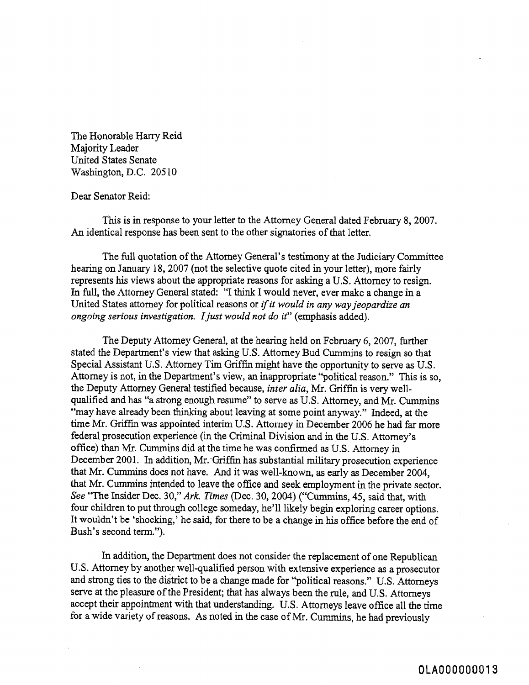The Honorable Harry Reid Majority Leader United States Senate Washington, D.C. 205 10

## Dear Senator Reid:

This is in response to your letter to the Attorney General dated February 8,2007. An identical response has been sent to the other signatories of that letter.

The full quotation of the Attorney General's testimony at the Judiciary Committee hearing on January 18,2007 (not the selective quote cited in your letter), more fairly represents his views about the appropriate reasons for asking a U.S. Attorney to resign. In full, the Attorney General stated: "I think I would never, ever make a change in a United States attorney for political reasons or *ifit would in any way jeopardize an ongoing serious investigation. Ijust would not do it"* (emphasis added).

The Deputy Attorney General, at the hearing held on February 6, 2007, further stated the Department's view that asking U.S. Attorney Bud Cummins to resign so that Special Assistant U.S. Attorney Tim Griffin might have the opportunity to serve as U.S. Attorney is not, in the Department's view, an inappropriate "political reason." This is so, the Deputy Attorney General testified because, *inter alia,* Mr. Griffin is very wellqualified and has "a strong enough resume" to serve as U.S. Attorney, and Mr. Cummins "may have already been thinking about leaving at some point anyway." Indeed, at the time Mr. Griffin was appointed interim U.S. Attorney in December 2006 he had far more federal prosecution experience (in the Criminal Division and in the U.S. Attorney's office) than Mr. Cummins did at the time he was confirmed as U.S. Attorney in December 2001. In addition, Mr. Griffin has substantial military prosecution experience that Mr. Cummins does not have. And it was well-known, as early as December 2004, that Mr. Curnmins intended to leave the office and seek employment in the private sector. See 'The Insider Dec. 30," *Ark. Times* (Dec. 30,2004) ("Cummins, 45, said that, with four children to put through college someday, he'll likely begin exploring career options. It wouldn't be 'shocking,' he said, for there to be a change in his office before the end of Bush's second term.").

In addition, the Department does not consider the replacement of one Republican U.S. Attorney by another well-qualified person with extensive experience as **a** prosecutor and strong ties to the district to be a change made for "political reasons." U.S. Attorneys serve at the pleasure of the President; that has always been the rule, and U.S. Attorneys accept their appointment with that understanding. U.S. Attorneys leave office all the time for a wide variety of reasons. As noted in the case of Mr. Cummins, he had previously